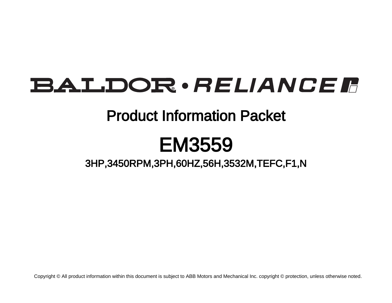# BALDOR · RELIANCE F

### Product Information Packet

## EM3559

### 3HP,3450RPM,3PH,60HZ,56H,3532M,TEFC,F1,N

Copyright © All product information within this document is subject to ABB Motors and Mechanical Inc. copyright © protection, unless otherwise noted.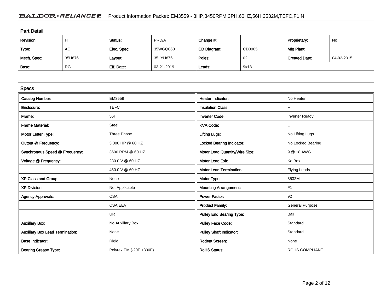#### BALDOR · RELIANCE F Product Information Packet: EM3559 - 3HP,3450RPM,3PH,60HZ,56H,3532M,TEFC,F1,N

| <b>Part Detail</b> |           |             |            |             |        |                      |            |  |  |
|--------------------|-----------|-------------|------------|-------------|--------|----------------------|------------|--|--|
| Revision:          | Н         | Status:     | PRD/A      | Change #:   |        | Proprietary:         | No         |  |  |
| Type:              | AC        | Elec. Spec: | 35WGQ060   | CD Diagram: | CD0005 | Mfg Plant:           |            |  |  |
| Mech. Spec:        | 35H876    | Layout:     | 35LYH876   | Poles:      | 02     | <b>Created Date:</b> | 04-02-2015 |  |  |
| Base:              | <b>RG</b> | Eff. Date:  | 03-21-2019 | Leads:      | 9#18   |                      |            |  |  |

| <b>Specs</b>                           |                         |                                 |                        |
|----------------------------------------|-------------------------|---------------------------------|------------------------|
| <b>Catalog Number:</b>                 | EM3559                  | <b>Heater Indicator:</b>        | No Heater              |
| Enclosure:                             | <b>TEFC</b>             | <b>Insulation Class:</b>        | F                      |
| Frame:                                 | 56H                     | <b>Inverter Code:</b>           | <b>Inverter Ready</b>  |
| <b>Frame Material:</b>                 | Steel                   | <b>KVA Code:</b>                |                        |
| Motor Letter Type:                     | Three Phase             | <b>Lifting Lugs:</b>            | No Lifting Lugs        |
| Output @ Frequency:                    | 3.000 HP @ 60 HZ        | Locked Bearing Indicator:       | No Locked Bearing      |
| Synchronous Speed @ Frequency:         | 3600 RPM @ 60 HZ        | Motor Lead Quantity/Wire Size:  | 9 @ 18 AWG             |
| Voltage @ Frequency:                   | 230.0 V @ 60 HZ         | <b>Motor Lead Exit:</b>         | Ko Box                 |
|                                        | 460.0 V @ 60 HZ         | <b>Motor Lead Termination:</b>  | Flying Leads           |
| XP Class and Group:                    | None                    | Motor Type:                     | 3532M                  |
| <b>XP Division:</b>                    | Not Applicable          | <b>Mounting Arrangement:</b>    | F <sub>1</sub>         |
| <b>Agency Approvals:</b>               | <b>CSA</b>              | <b>Power Factor:</b>            | 92                     |
|                                        | <b>CSA EEV</b>          | <b>Product Family:</b>          | <b>General Purpose</b> |
|                                        | <b>UR</b>               | <b>Pulley End Bearing Type:</b> | Ball                   |
| <b>Auxillary Box:</b>                  | No Auxillary Box        | <b>Pulley Face Code:</b>        | Standard               |
| <b>Auxillary Box Lead Termination:</b> | None                    | <b>Pulley Shaft Indicator:</b>  | Standard               |
| <b>Base Indicator:</b>                 | Rigid                   | <b>Rodent Screen:</b>           | None                   |
| <b>Bearing Grease Type:</b>            | Polyrex EM (-20F +300F) | <b>RoHS Status:</b>             | <b>ROHS COMPLIANT</b>  |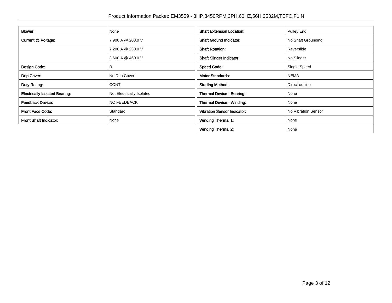| <b>Blower:</b>                        | None                      | <b>Shaft Extension Location:</b>   | <b>Pulley End</b>   |
|---------------------------------------|---------------------------|------------------------------------|---------------------|
| Current @ Voltage:                    | 7.900 A @ 208.0 V         | <b>Shaft Ground Indicator:</b>     | No Shaft Grounding  |
|                                       | 7.200 A @ 230.0 V         | <b>Shaft Rotation:</b>             | Reversible          |
|                                       | 3.600 A @ 460.0 V         | <b>Shaft Slinger Indicator:</b>    | No Slinger          |
| Design Code:                          | B                         | <b>Speed Code:</b>                 | Single Speed        |
| Drip Cover:                           | No Drip Cover             | <b>Motor Standards:</b>            | <b>NEMA</b>         |
| Duty Rating:                          | <b>CONT</b>               | <b>Starting Method:</b>            | Direct on line      |
| <b>Electrically Isolated Bearing:</b> | Not Electrically Isolated | Thermal Device - Bearing:          | None                |
| <b>Feedback Device:</b>               | NO FEEDBACK               | Thermal Device - Winding:          | None                |
| <b>Front Face Code:</b>               | Standard                  | <b>Vibration Sensor Indicator:</b> | No Vibration Sensor |
| Front Shaft Indicator:                | None                      | <b>Winding Thermal 1:</b>          | None                |
|                                       |                           | <b>Winding Thermal 2:</b>          | None                |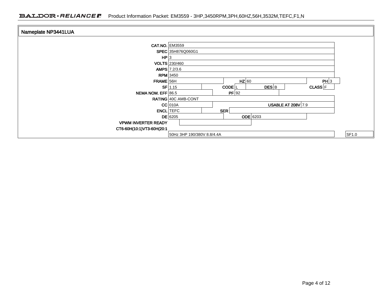| Nameplate NP3441LUA        |                                                                     |       |
|----------------------------|---------------------------------------------------------------------|-------|
| <b>CAT.NO. EM3559</b>      |                                                                     |       |
|                            | SPEC 35H876Q060G1                                                   |       |
| HP 3                       |                                                                     |       |
|                            | <b>VOLTS</b> 230/460                                                |       |
|                            | $AMPS$ 7.2/3.6                                                      |       |
|                            | $RPM$ 3450                                                          |       |
| $FRAME$ 56H                | $HZ$ 60<br>PH 3                                                     |       |
|                            | $DES$ <sub>B</sub><br>$SF$ 1.15<br>CODE <sup>L</sup><br>$CLASS$ $F$ |       |
| NEMA NOM. EFF 86.5         | $PF$ 92                                                             |       |
|                            | RATING 40C AMB-CONT                                                 |       |
|                            | $CC$ 010A<br><b>USABLE AT 208V 7.9</b>                              |       |
|                            | <b>ENCL</b> TEFC<br>SER                                             |       |
|                            | <b>ODE</b> 6203<br>$DE$ 6205                                        |       |
| <b>VPWM INVERTER READY</b> |                                                                     |       |
| CT6-60H(10:1)VT3-60H(20:1  |                                                                     |       |
|                            | 50Hz 3HP 190/380V 8.8/4.4A                                          | SF1.0 |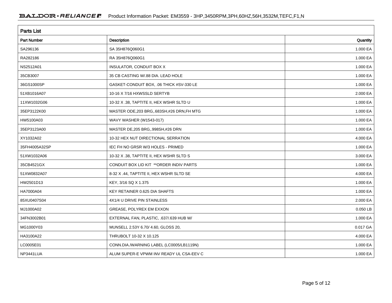| <b>Parts List</b>  |                                             |          |  |  |  |  |
|--------------------|---------------------------------------------|----------|--|--|--|--|
| <b>Part Number</b> | Description                                 | Quantity |  |  |  |  |
| SA296136           | SA 35H876Q060G1                             | 1.000 EA |  |  |  |  |
| RA282186           | RA 35H876Q060G1                             | 1.000 EA |  |  |  |  |
| NS2512A01          | INSULATOR, CONDUIT BOX X                    | 1.000 EA |  |  |  |  |
| 35CB3007           | 35 CB CASTING W/.88 DIA. LEAD HOLE          | 1.000 EA |  |  |  |  |
| 36GS1000SP         | GASKET-CONDUIT BOX, .06 THICK #SV-330 LE    | 1.000 EA |  |  |  |  |
| 51XB1016A07        | 10-16 X 7/16 HXWSSLD SERTYB                 | 2.000 EA |  |  |  |  |
| 11XW1032G06        | 10-32 X .38, TAPTITE II, HEX WSHR SLTD U    | 1.000 EA |  |  |  |  |
| 35EP3122K00        | MASTER ODE, 203 BRG, 683SH, #26 DRN, FH MTG | 1.000 EA |  |  |  |  |
| HW5100A03          | WAVY WASHER (W1543-017)                     | 1.000 EA |  |  |  |  |
| 35EP3123A00        | MASTER DE, 205 BRG, 998SH, #26 DRN          | 1.000 EA |  |  |  |  |
| XY1032A02          | 10-32 HEX NUT DIRECTIONAL SERRATION         | 4.000 EA |  |  |  |  |
| 35FH4005A32SP      | IEC FH NO GRSR W/3 HOLES - PRIMED           | 1.000 EA |  |  |  |  |
| 51XW1032A06        | 10-32 X .38, TAPTITE II, HEX WSHR SLTD S    | 3.000 EA |  |  |  |  |
| 35CB4521GX         | CONDUIT BOX LID KIT ** ORDER INDIV PARTS    | 1.000 EA |  |  |  |  |
| 51XW0832A07        | 8-32 X .44, TAPTITE II, HEX WSHR SLTD SE    | 4.000 EA |  |  |  |  |
| HW2501D13          | KEY, 3/16 SQ X 1.375                        | 1.000 EA |  |  |  |  |
| HA7000A04          | KEY RETAINER 0.625 DIA SHAFTS               | 1.000 EA |  |  |  |  |
| 85XU0407S04        | 4X1/4 U DRIVE PIN STAINLESS                 | 2.000 EA |  |  |  |  |
| MJ1000A02          | GREASE, POLYREX EM EXXON                    | 0.050 LB |  |  |  |  |
| 34FN3002B01        | EXTERNAL FAN, PLASTIC, .637/.639 HUB W/     | 1.000 EA |  |  |  |  |
| MG1000Y03          | MUNSELL 2.53Y 6.70/ 4.60, GLOSS 20,         | 0.017 GA |  |  |  |  |
| HA3100A22          | THRUBOLT 10-32 X 10.125                     | 4.000 EA |  |  |  |  |
| LC0005E01          | CONN.DIA./WARNING LABEL (LC0005/LB1119N)    | 1.000 EA |  |  |  |  |
| NP3441LUA          | ALUM SUPER-E VPWM INV READY UL CSA-EEV C    | 1.000 EA |  |  |  |  |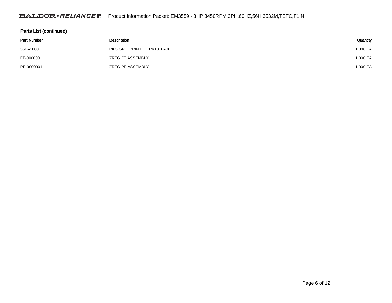#### BALDOR · RELIANCE F Product Information Packet: EM3559 - 3HP,3450RPM,3PH,60HZ,56H,3532M,TEFC,F1,N

| <b>Parts List (continued)</b> |                                    |          |  |  |  |  |
|-------------------------------|------------------------------------|----------|--|--|--|--|
| <b>Part Number</b>            | Description                        | Quantity |  |  |  |  |
| 36PA1000                      | <b>PKG GRP, PRINT</b><br>PK1016A06 | 1.000 EA |  |  |  |  |
| FE-0000001                    | <b>ZRTG FE ASSEMBLY</b>            | 1.000 EA |  |  |  |  |
| PE-0000001                    | <b>ZRTG PE ASSEMBLY</b>            | 1.000 EA |  |  |  |  |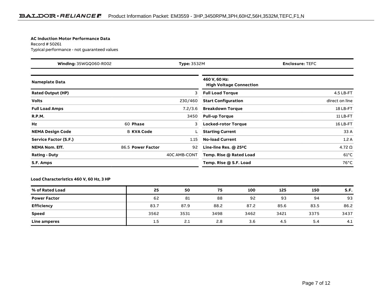#### **AC Induction Motor Performance Data**

Record # 50261Typical performance - not guaranteed values

| <b>Winding: 35WGQ060-R002</b><br><b>Type: 3532M</b> |                   |              | <b>Enclosure: TEFC</b>                          |                |  |  |
|-----------------------------------------------------|-------------------|--------------|-------------------------------------------------|----------------|--|--|
| <b>Nameplate Data</b>                               |                   |              | 460 V, 60 Hz:<br><b>High Voltage Connection</b> |                |  |  |
| <b>Rated Output (HP)</b>                            |                   | 3            | <b>Full Load Torque</b>                         | 4.5 LB-FT      |  |  |
| <b>Volts</b>                                        |                   | 230/460      | <b>Start Configuration</b>                      | direct on line |  |  |
| <b>Full Load Amps</b>                               |                   | 7.2/3.6      | <b>Breakdown Torque</b>                         | 18 LB-FT       |  |  |
| <b>R.P.M.</b>                                       |                   | 3450         | <b>Pull-up Torque</b>                           | 11 LB-FT       |  |  |
| Hz                                                  | 60 Phase          | 3            | <b>Locked-rotor Torque</b>                      | 16 LB-FT       |  |  |
| <b>NEMA Design Code</b>                             | <b>B KVA Code</b> |              | <b>Starting Current</b>                         | 33 A           |  |  |
| Service Factor (S.F.)                               |                   | 1.15         | <b>No-load Current</b>                          | 1.2A           |  |  |
| <b>NEMA Nom. Eff.</b>                               | 86.5 Power Factor | 92           | Line-line Res. $@$ 25 $°C$                      | 4.72 $\Omega$  |  |  |
| <b>Rating - Duty</b>                                |                   | 40C AMB-CONT | Temp. Rise @ Rated Load                         | $61^{\circ}$ C |  |  |
| S.F. Amps                                           |                   |              | Temp. Rise @ S.F. Load                          | $76^{\circ}$ C |  |  |

#### **Load Characteristics 460 V, 60 Hz, 3 HP**

| % of Rated Load     | 25   | 50   | 75   | 100  | 125  | 150  | S.F. |
|---------------------|------|------|------|------|------|------|------|
| <b>Power Factor</b> | 62   | 81   | 88   | 92   | 93   | 94   | 93   |
| Efficiency          | 83.7 | 87.9 | 88.2 | 87.2 | 85.6 | 83.5 | 86.2 |
| Speed               | 3562 | 3531 | 3498 | 3462 | 3421 | 3375 | 3437 |
| Line amperes        | 1.5  | 2.1  | 2.8  | 3.6  | 4.5  | 5.4  | 4.1  |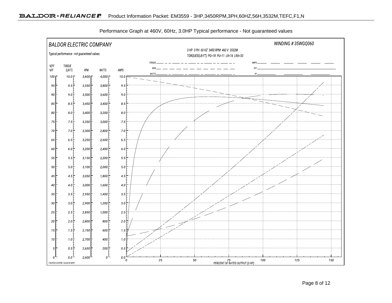

Performance Graph at 460V, 60Hz, 3.0HP Typical performance - Not guaranteed values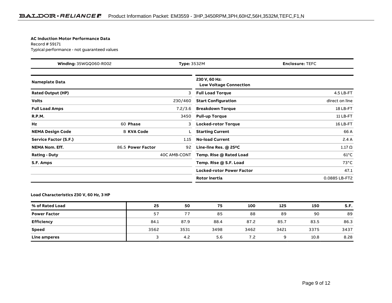#### **AC Induction Motor Performance Data**

Record # 59171Typical performance - not guaranteed values

| <b>Winding: 35WGQ060-R002</b><br><b>Type: 3532M</b> |                   |              | <b>Enclosure: TEFC</b>                         |                |  |  |
|-----------------------------------------------------|-------------------|--------------|------------------------------------------------|----------------|--|--|
| <b>Nameplate Data</b>                               |                   |              | 230 V, 60 Hz:<br><b>Low Voltage Connection</b> |                |  |  |
| <b>Rated Output (HP)</b>                            |                   | 3            | <b>Full Load Torque</b>                        | 4.5 LB-FT      |  |  |
| <b>Volts</b>                                        |                   | 230/460      | <b>Start Configuration</b>                     | direct on line |  |  |
| <b>Full Load Amps</b>                               |                   | 7.2/3.6      | <b>Breakdown Torque</b>                        | 18 LB-FT       |  |  |
| <b>R.P.M.</b>                                       |                   | 3450         | <b>Pull-up Torque</b>                          | 11 LB-FT       |  |  |
| Hz                                                  | 60 Phase          | 3            | <b>Locked-rotor Torque</b>                     | 16 LB-FT       |  |  |
| <b>NEMA Design Code</b>                             | <b>B KVA Code</b> |              | <b>Starting Current</b>                        | 66 A           |  |  |
| Service Factor (S.F.)                               |                   | 1.15         | <b>No-load Current</b>                         | 2.4A           |  |  |
| <b>NEMA Nom. Eff.</b>                               | 86.5 Power Factor | 92           | Line-line Res. $@$ 25 <sup>o</sup> C           | $1.17 \Omega$  |  |  |
| <b>Rating - Duty</b>                                |                   | 40C AMB-CONT | Temp. Rise @ Rated Load                        | $61^{\circ}$ C |  |  |
| S.F. Amps                                           |                   |              | Temp. Rise @ S.F. Load                         | $73^{\circ}$ C |  |  |
|                                                     |                   |              | <b>Locked-rotor Power Factor</b>               | 47.1           |  |  |
|                                                     |                   |              | <b>Rotor inertia</b>                           | 0.0885 LB-FT2  |  |  |

#### **Load Characteristics 230 V, 60 Hz, 3 HP**

| % of Rated Load     | 25   | 50   | 75   | 100  | 125  | 150  | S.F. |
|---------------------|------|------|------|------|------|------|------|
| <b>Power Factor</b> | 57   | 77   | 85   | 88   | 89   | 90   | 89   |
| <b>Efficiency</b>   | 84.1 | 87.9 | 88.4 | 87.2 | 85.7 | 83.5 | 86.3 |
| Speed               | 3562 | 3531 | 3498 | 3462 | 3421 | 3375 | 3437 |
| Line amperes        |      | 4.2  | 5.6  | 7.2  | Q    | 10.8 | 8.28 |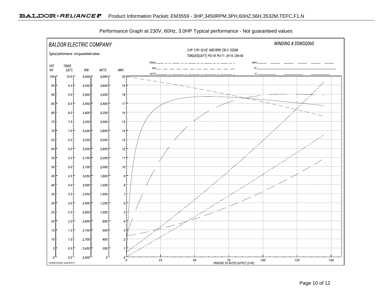

Performance Graph at 230V, 60Hz, 3.0HP Typical performance - Not guaranteed values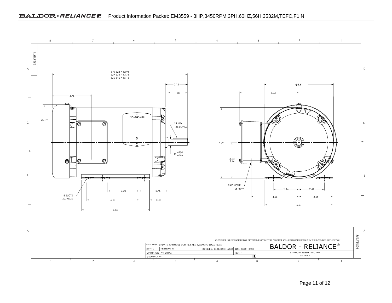

Page 11 of 12